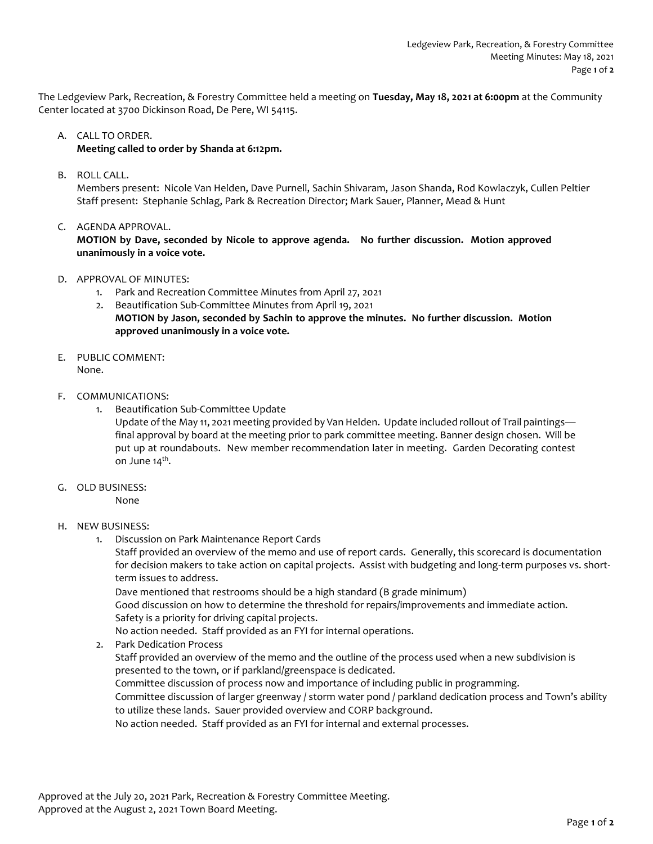The Ledgeview Park, Recreation, & Forestry Committee held a meeting on **Tuesday, May 18, 2021 at 6:00pm** at the Community Center located at 3700 Dickinson Road, De Pere, WI 54115.

## A. CALL TO ORDER.

# **Meeting called to order by Shanda at 6:12pm.**

B. ROLL CALL.

Members present: Nicole Van Helden, Dave Purnell, Sachin Shivaram, Jason Shanda, Rod Kowlaczyk, Cullen Peltier Staff present: Stephanie Schlag, Park & Recreation Director; Mark Sauer, Planner, Mead & Hunt

C. AGENDA APPROVAL.

**MOTION by Dave, seconded by Nicole to approve agenda. No further discussion. Motion approved unanimously in a voice vote.** 

- D. APPROVAL OF MINUTES:
	- 1. Park and Recreation Committee Minutes from April 27, 2021
	- 2. Beautification Sub-Committee Minutes from April 19, 2021 **MOTION by Jason, seconded by Sachin to approve the minutes. No further discussion. Motion approved unanimously in a voice vote.**
- E. PUBLIC COMMENT: None.
- F. COMMUNICATIONS:
	- 1. Beautification Sub-Committee Update

Update of the May 11, 2021 meeting provided by Van Helden. Update included rollout of Trail paintings final approval by board at the meeting prior to park committee meeting. Banner design chosen. Will be put up at roundabouts. New member recommendation later in meeting. Garden Decorating contest on June 14<sup>th</sup>.

G. OLD BUSINESS:

None

### H. NEW BUSINESS:

1. Discussion on Park Maintenance Report Cards

Staff provided an overview of the memo and use of report cards. Generally, this scorecard is documentation for decision makers to take action on capital projects. Assist with budgeting and long-term purposes vs. shortterm issues to address.

Dave mentioned that restrooms should be a high standard (B grade minimum)

Good discussion on how to determine the threshold for repairs/improvements and immediate action. Safety is a priority for driving capital projects.

No action needed. Staff provided as an FYI for internal operations.

2. Park Dedication Process

Staff provided an overview of the memo and the outline of the process used when a new subdivision is presented to the town, or if parkland/greenspace is dedicated.

Committee discussion of process now and importance of including public in programming.

Committee discussion of larger greenway / storm water pond / parkland dedication process and Town's ability to utilize these lands. Sauer provided overview and CORP background.

No action needed. Staff provided as an FYI for internal and external processes.